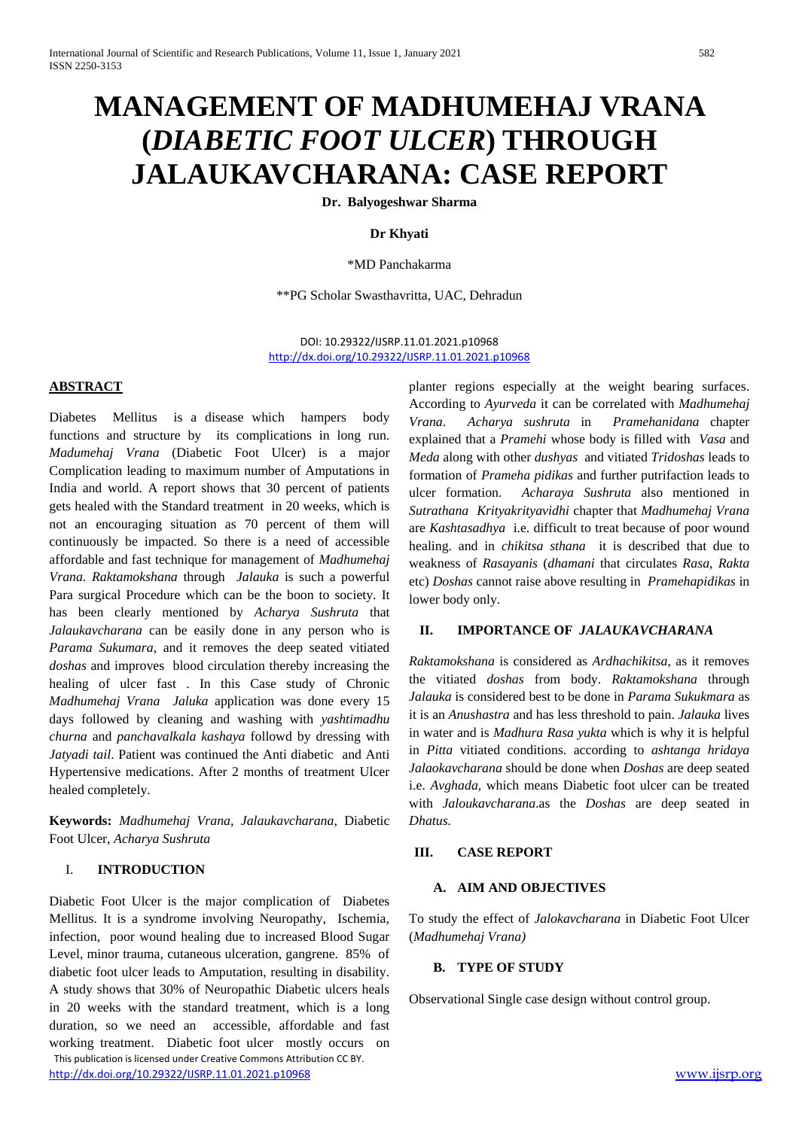# **MANAGEMENT OF MADHUMEHAJ VRANA (***DIABETIC FOOT ULCER***) THROUGH JALAUKAVCHARANA: CASE REPORT**

**Dr. Balyogeshwar Sharma**

#### **Dr Khyati**

\*MD Panchakarma

\*\*PG Scholar Swasthavritta, UAC, Dehradun

DOI: 10.29322/IJSRP.11.01.2021.p10968 <http://dx.doi.org/10.29322/IJSRP.11.01.2021.p10968>

#### **ABSTRACT**

Diabetes Mellitus is a disease which hampers body functions and structure by its complications in long run. *Madumehaj Vrana* (Diabetic Foot Ulcer) is a major Complication leading to maximum number of Amputations in India and world. A report shows that 30 percent of patients gets healed with the Standard treatment in 20 weeks, which is not an encouraging situation as 70 percent of them will continuously be impacted. So there is a need of accessible affordable and fast technique for management of *Madhumehaj Vrana. Raktamokshana* through *Jalauka* is such a powerful Para surgical Procedure which can be the boon to society. It has been clearly mentioned by *Acharya Sushruta* that *Jalaukavcharana* can be easily done in any person who is *Parama Sukumara*, and it removes the deep seated vitiated *doshas* and improves blood circulation thereby increasing the healing of ulcer fast . In this Case study of Chronic *Madhumehaj Vrana Jaluka* application was done every 15 days followed by cleaning and washing with *yashtimadhu churna* and *panchavalkala kashaya* followd by dressing with *Jatyadi tail*. Patient was continued the Anti diabetic and Anti Hypertensive medications. After 2 months of treatment Ulcer healed completely.

**Keywords:** *Madhumehaj Vrana*, *Jalaukavcharana*, Diabetic Foot Ulcer, *Acharya Sushruta*

#### I. **INTRODUCTION**

 This publication is licensed under Creative Commons Attribution CC BY. <http://dx.doi.org/10.29322/IJSRP.11.01.2021.p10968> [www.ijsrp.org](http://ijsrp.org/) Diabetic Foot Ulcer is the major complication of Diabetes Mellitus. It is a syndrome involving Neuropathy, Ischemia, infection, poor wound healing due to increased Blood Sugar Level, minor trauma, cutaneous ulceration, gangrene. 85% of diabetic foot ulcer leads to Amputation, resulting in disability. A study shows that 30% of Neuropathic Diabetic ulcers heals in 20 weeks with the standard treatment, which is a long duration, so we need an accessible, affordable and fast working treatment. Diabetic foot ulcer mostly occurs on

planter regions especially at the weight bearing surfaces. According to *Ayurveda* it can be correlated with *Madhumehaj Vrana*. *Acharya sushruta* in *Pramehanidana* chapter explained that a *Pramehi* whose body is filled with *Vasa* and *Meda* along with other *dushyas* and vitiated *Tridoshas* leads to formation of *Prameha pidikas* and further putrifaction leads to ulcer formation. *Acharaya Sushruta* also mentioned in *Sutrathana Krityakrityavidhi* chapter that *Madhumehaj Vrana* are *Kashtasadhya* i.e. difficult to treat because of poor wound healing. and in *chikitsa sthana* it is described that due to weakness of *Rasayanis* (*dhamani* that circulates *Rasa*, *Rakta*  etc) *Doshas* cannot raise above resulting in *Pramehapidikas* in lower body only.

#### **II. IMPORTANCE OF** *JALAUKAVCHARANA*

*Raktamokshana* is considered as *Ardhachikitsa*, as it removes the vitiated *doshas* from body. *Raktamokshana* through *Jalauka* is considered best to be done in *Parama Sukukmara* as it is an *Anushastra* and has less threshold to pain. *Jalauka* lives in water and is *Madhura Rasa yukta* which is why it is helpful in *Pitta* vitiated conditions. according to *ashtanga hridaya Jalaokavcharana* should be done when *Doshas* are deep seated i.e. *Avghada,* which means Diabetic foot ulcer can be treated with *Jaloukavcharana*.as the *Doshas* are deep seated in *Dhatus.*

#### **III. CASE REPORT**

#### **A. AIM AND OBJECTIVES**

To study the effect of *Jalokavcharana* in Diabetic Foot Ulcer (*Madhumehaj Vrana)*

#### **B. TYPE OF STUDY**

Observational Single case design without control group.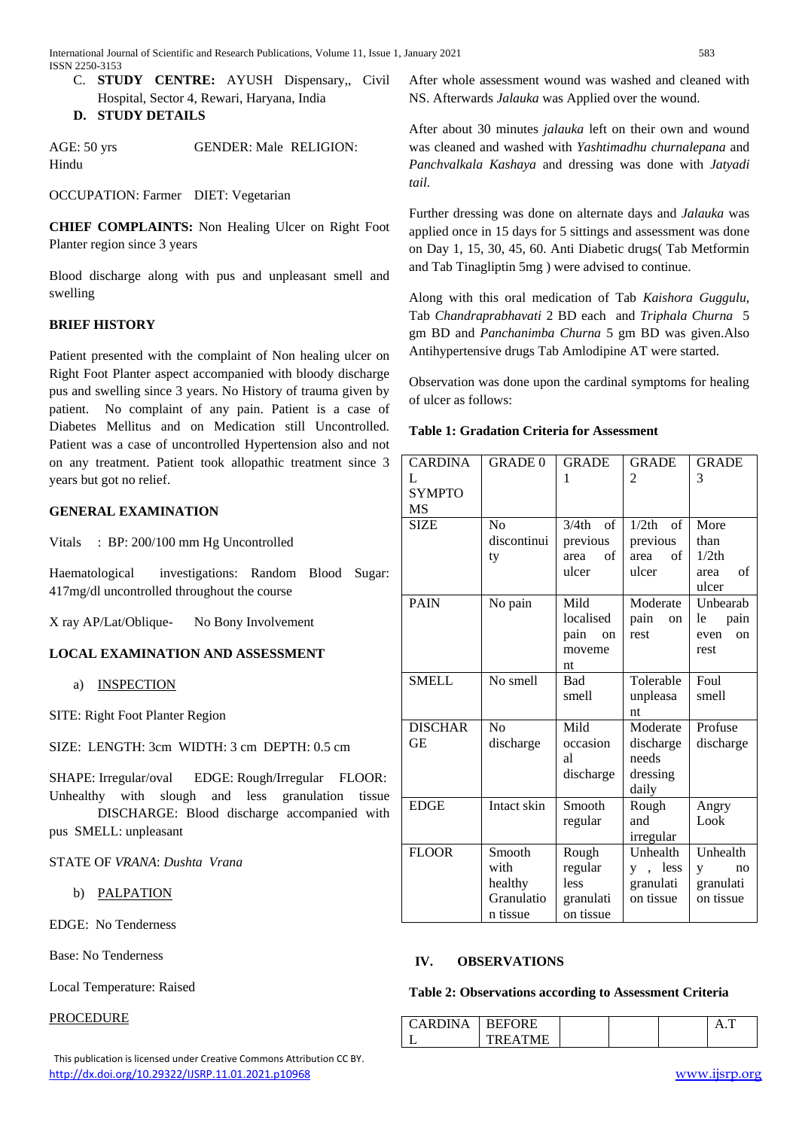C. **STUDY CENTRE:** AYUSH Dispensary,, Civil Hospital, Sector 4, Rewari, Haryana, India

## **D. STUDY DETAILS**

AGE: 50 yrs GENDER: Male RELIGION: Hindu

OCCUPATION: Farmer DIET: Vegetarian

**CHIEF COMPLAINTS:** Non Healing Ulcer on Right Foot Planter region since 3 years

Blood discharge along with pus and unpleasant smell and swelling

# **BRIEF HISTORY**

Patient presented with the complaint of Non healing ulcer on Right Foot Planter aspect accompanied with bloody discharge pus and swelling since 3 years. No History of trauma given by patient. No complaint of any pain. Patient is a case of Diabetes Mellitus and on Medication still Uncontrolled. Patient was a case of uncontrolled Hypertension also and not on any treatment. Patient took allopathic treatment since 3 years but got no relief.

## **GENERAL EXAMINATION**

Vitals : BP: 200/100 mm Hg Uncontrolled

Haematological investigations: Random Blood Sugar: 417mg/dl uncontrolled throughout the course

X ray AP/Lat/Oblique- No Bony Involvement

# **LOCAL EXAMINATION AND ASSESSMENT**

a) INSPECTION

SITE: Right Foot Planter Region

SIZE: LENGTH: 3cm WIDTH: 3 cm DEPTH: 0.5 cm

SHAPE: Irregular/oval EDGE: Rough/Irregular FLOOR: Unhealthy with slough and less granulation tissue

DISCHARGE: Blood discharge accompanied with pus SMELL: unpleasant

STATE OF *VRANA*: *Dushta Vrana*

b) PALPATION

EDGE: No Tenderness

Base: No Tenderness

Local Temperature: Raised

PROCEDURE

 This publication is licensed under Creative Commons Attribution CC BY. <http://dx.doi.org/10.29322/IJSRP.11.01.2021.p10968> [www.ijsrp.org](http://ijsrp.org/)

After whole assessment wound was washed and cleaned with NS. Afterwards *Jalauka* was Applied over the wound.

After about 30 minutes *jalauka* left on their own and wound was cleaned and washed with *Yashtimadhu churnalepana* and *Panchvalkala Kashaya* and dressing was done with *Jatyadi tail*.

Further dressing was done on alternate days and *Jalauka* was applied once in 15 days for 5 sittings and assessment was done on Day 1, 15, 30, 45, 60. Anti Diabetic drugs( Tab Metformin and Tab Tinagliptin 5mg ) were advised to continue.

Along with this oral medication of Tab *Kaishora Guggulu*, Tab *Chandraprabhavati* 2 BD each and *Triphala Churna* 5 gm BD and *Panchanimba Churna* 5 gm BD was given.Also Antihypertensive drugs Tab Amlodipine AT were started.

Observation was done upon the cardinal symptoms for healing of ulcer as follows:

| <b>CARDINA</b> | <b>GRADE 0</b> | <b>GRADE</b>                                                                                                            | <b>GRADE</b>             | <b>GRADE</b>          |  |
|----------------|----------------|-------------------------------------------------------------------------------------------------------------------------|--------------------------|-----------------------|--|
| L              |                | 1                                                                                                                       | $\overline{2}$           | 3                     |  |
| <b>SYMPTO</b>  |                |                                                                                                                         |                          |                       |  |
| MS             |                |                                                                                                                         |                          |                       |  |
| <b>SIZE</b>    | N <sub>o</sub> | $% \left( \left( \mathcal{A},\mathcal{A}\right) \right) =\left( \mathcal{A},\mathcal{A}\right)$ of<br>3/4 <sub>th</sub> | 1/2th<br>of              | More                  |  |
|                | discontinui    | previous                                                                                                                | previous                 | than                  |  |
|                | ty             | $\sigma$ f<br>area                                                                                                      | $_{\mathrm{of}}$<br>area | 1/2th                 |  |
|                |                | ulcer                                                                                                                   | ulcer                    | οf<br>area            |  |
|                |                |                                                                                                                         |                          | ulcer                 |  |
| <b>PAIN</b>    | No pain        | Mild                                                                                                                    | Moderate                 | Unbearab              |  |
|                |                | localised                                                                                                               | pain<br>on               | le<br>pain            |  |
|                |                | pain<br>on                                                                                                              | rest                     | <sub>on</sub><br>even |  |
|                |                | moveme                                                                                                                  |                          | rest                  |  |
|                |                | nt                                                                                                                      |                          |                       |  |
| <b>SMELL</b>   | No smell       | <b>Bad</b>                                                                                                              | Tolerable                | Foul                  |  |
|                |                | smell<br>unpleasa                                                                                                       |                          | smell                 |  |
|                |                |                                                                                                                         | nt                       |                       |  |
| <b>DISCHAR</b> | No             | Mild                                                                                                                    | Moderate                 | Profuse               |  |
| <b>GE</b>      | discharge      | occasion                                                                                                                | discharge                | discharge             |  |
|                |                | al                                                                                                                      | needs                    |                       |  |
|                |                | discharge                                                                                                               | dressing                 |                       |  |
|                |                |                                                                                                                         | daily                    |                       |  |
| <b>EDGE</b>    | Intact skin    | Smooth                                                                                                                  | Rough                    | Angry                 |  |
|                |                | regular<br>and                                                                                                          |                          | Look                  |  |
|                |                |                                                                                                                         | irregular                |                       |  |
| <b>FLOOR</b>   | Smooth         | Rough                                                                                                                   | Unhealth                 | Unhealth              |  |
|                | with           | regular                                                                                                                 | y, less                  | no<br>y               |  |
|                | healthy        | less                                                                                                                    | granulati                | granulati             |  |
|                | Granulatio     | granulati                                                                                                               | on tissue                | on tissue             |  |
|                | n tissue       | on tissue                                                                                                               |                          |                       |  |

## **Table 1: Gradation Criteria for Assessment**

# **IV. OBSERVATIONS**

#### **Table 2: Observations according to Assessment Criteria**

| <b>APDIN</b> | <b>REFORE</b> |  |  |
|--------------|---------------|--|--|
|              | TREATME       |  |  |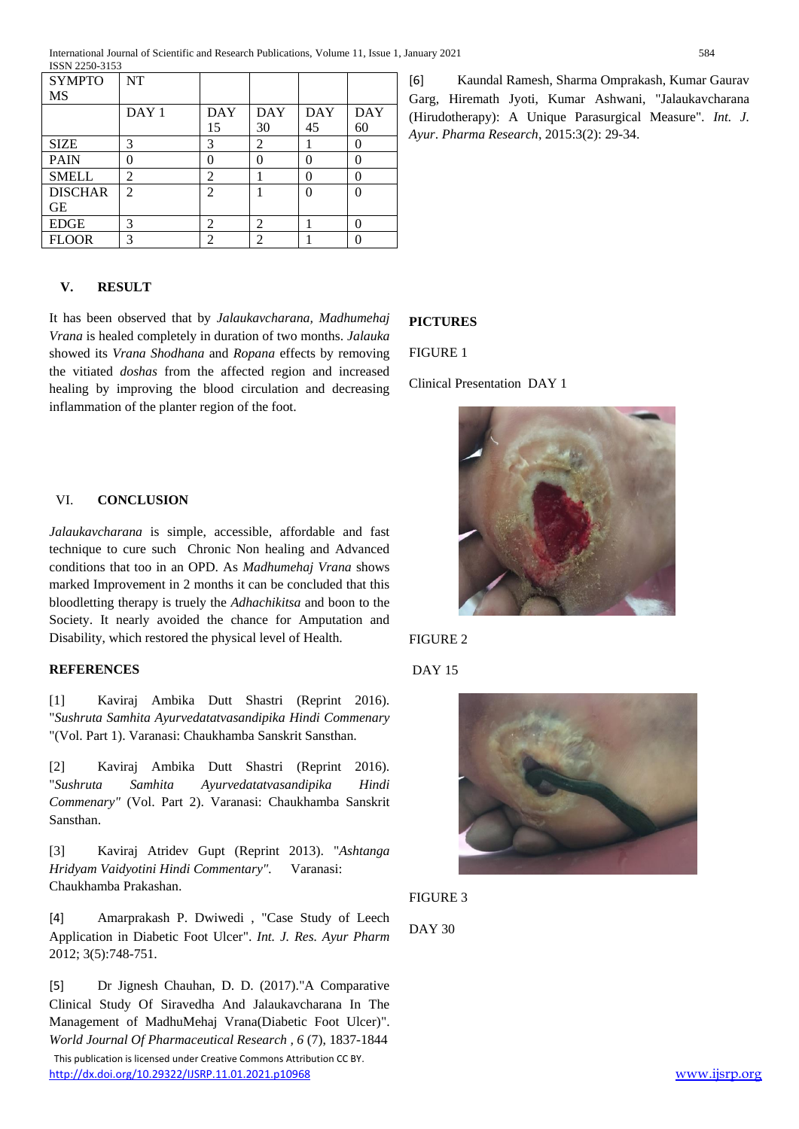| <b>SYMPTO</b>  | NT               |                |            |            |            |
|----------------|------------------|----------------|------------|------------|------------|
| MS             |                  |                |            |            |            |
|                | DAY <sub>1</sub> | DAY            | <b>DAY</b> | <b>DAY</b> | <b>DAY</b> |
|                |                  | 15             | 30         | 45         | 60         |
| <b>SIZE</b>    | 3                | 3              | 2          |            | 0          |
| <b>PAIN</b>    | 0                | 0              |            |            | 0          |
| <b>SMELL</b>   | $\overline{2}$   | 2              |            | 0          | 0          |
| <b>DISCHAR</b> | $\overline{2}$   | $\mathfrak{D}$ |            | $\Omega$   | 0          |
| GЕ             |                  |                |            |            |            |
| <b>EDGE</b>    | 3                | 2              | 2          |            | 0          |
| <b>FLOOR</b>   | 3                | 2              | 2          |            | O          |

## **V. RESULT**

It has been observed that by *Jalaukavcharana, Madhumehaj Vrana* is healed completely in duration of two months. *Jalauka* showed its *Vrana Shodhana* and *Ropana* effects by removing the vitiated *doshas* from the affected region and increased healing by improving the blood circulation and decreasing inflammation of the planter region of the foot.

## VI. **CONCLUSION**

*Jalaukavcharana* is simple, accessible, affordable and fast technique to cure such Chronic Non healing and Advanced conditions that too in an OPD. As *Madhumehaj Vrana* shows marked Improvement in 2 months it can be concluded that this bloodletting therapy is truely the *Adhachikitsa* and boon to the Society. It nearly avoided the chance for Amputation and Disability, which restored the physical level of Health.

#### **REFERENCES**

[1] Kaviraj Ambika Dutt Shastri (Reprint 2016). "*Sushruta Samhita Ayurvedatatvasandipika Hindi Commenary* "(Vol. Part 1). Varanasi: Chaukhamba Sanskrit Sansthan.

[2] Kaviraj Ambika Dutt Shastri (Reprint 2016). "*Sushruta Samhita Ayurvedatatvasandipika Hindi Commenary"* (Vol. Part 2). Varanasi: Chaukhamba Sanskrit Sansthan.

[3] Kaviraj Atridev Gupt (Reprint 2013). "*Ashtanga Hridyam Vaidyotini Hindi Commentary".* Varanasi: Chaukhamba Prakashan.

[4] Amarprakash P. Dwiwedi , "Case Study of Leech Application in Diabetic Foot Ulcer". *Int. J. Res. Ayur Pharm*  2012; 3(5):748-751.

 This publication is licensed under Creative Commons Attribution CC BY. <http://dx.doi.org/10.29322/IJSRP.11.01.2021.p10968> [www.ijsrp.org](http://ijsrp.org/) [5] Dr Jignesh Chauhan, D. D. (2017)."A Comparative Clinical Study Of Siravedha And Jalaukavcharana In The Management of MadhuMehaj Vrana(Diabetic Foot Ulcer)". *World Journal Of Pharmaceutical Research , 6* (7), 1837-1844

[6] Kaundal Ramesh, Sharma Omprakash, Kumar Gaurav Garg, Hiremath Jyoti, Kumar Ashwani, "Jalaukavcharana (Hirudotherapy): A Unique Parasurgical Measure"*. Int. J. Ayur*. *Pharma Research*, 2015:3(2): 29-34.

## **PICTURES**

FIGURE 1

Clinical Presentation DAY 1











DAY 30